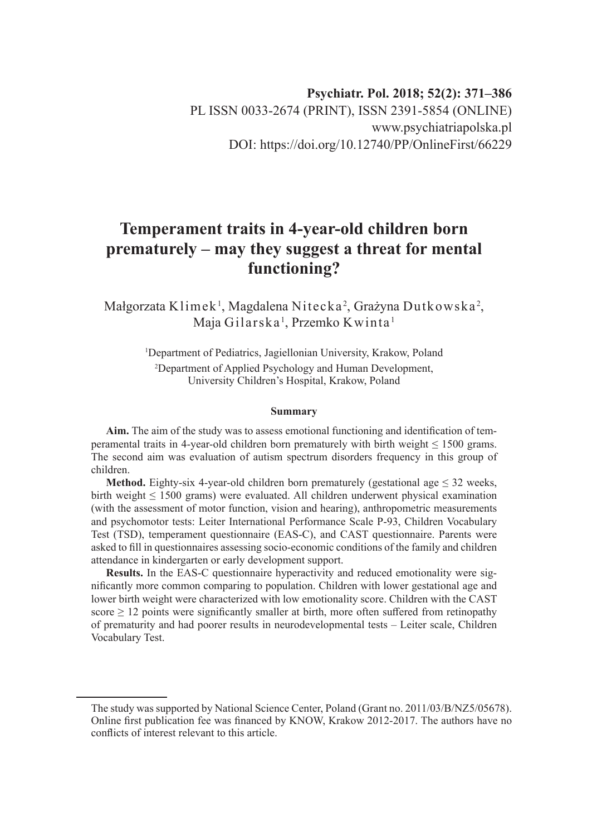# **Psychiatr. Pol. 2018; 52(2): 371–386** PL ISSN 0033-2674 (PRINT), ISSN 2391-5854 (ONLINE) www.psychiatriapolska.pl DOI: https://doi.org/10.12740/PP/OnlineFirst/66229

# **Temperament traits in 4-year-old children born prematurely – may they suggest a threat for mental functioning?**

Małgorzata Klimek $^{\rm l}$ , Magdalena Nitecka $^{\rm 2}$ , Grażyna Dutkowska $^{\rm 2}$ , Maja Gilarska <sup>1</sup>, Przemko Kwinta <sup>1</sup>

> 1 Department of Pediatrics, Jagiellonian University, Krakow, Poland 2 Department of Applied Psychology and Human Development, University Children's Hospital, Krakow, Poland

#### **Summary**

**Aim.** The aim of the study was to assess emotional functioning and identification of temperamental traits in 4-year-old children born prematurely with birth weight  $\leq 1500$  grams. The second aim was evaluation of autism spectrum disorders frequency in this group of children.

**Method.** Eighty-six 4-year-old children born prematurely (gestational age  $\leq 32$  weeks, birth weight ≤ 1500 grams) were evaluated. All children underwent physical examination (with the assessment of motor function, vision and hearing), anthropometric measurements and psychomotor tests: Leiter International Performance Scale P-93, Children Vocabulary Test (TSD), temperament questionnaire (EAS-C), and CAST questionnaire. Parents were asked to fill in questionnaires assessing socio-economic conditions of the family and children attendance in kindergarten or early development support.

**Results.** In the EAS-C questionnaire hyperactivity and reduced emotionality were significantly more common comparing to population. Children with lower gestational age and lower birth weight were characterized with low emotionality score. Children with the CAST score  $\geq 12$  points were significantly smaller at birth, more often suffered from retinopathy of prematurity and had poorer results in neurodevelopmental tests – Leiter scale, Children Vocabulary Test.

The study was supported by National Science Center, Poland (Grant no. 2011/03/B/NZ5/05678). Online first publication fee was financed by KNOW, Krakow 2012-2017. The authors have no conflicts of interest relevant to this article.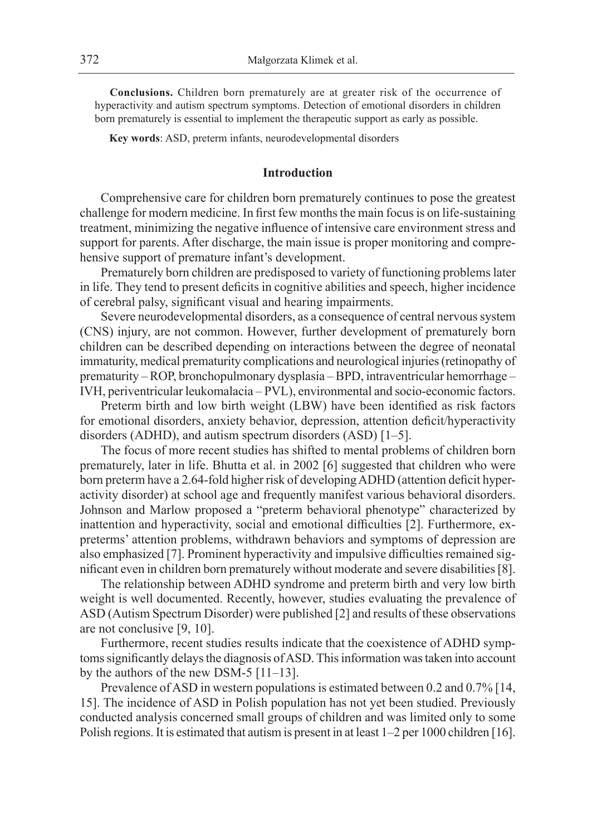**Conclusions.** Children born prematurely are at greater risk of the occurrence of hyperactivity and autism spectrum symptoms. Detection of emotional disorders in children born prematurely is essential to implement the therapeutic support as early as possible.

**Key words**: ASD, preterm infants, neurodevelopmental disorders

#### **Introduction**

Comprehensive care for children born prematurely continues to pose the greatest challenge for modern medicine. In first few months the main focus is on life-sustaining treatment, minimizing the negative influence of intensive care environment stress and support for parents. After discharge, the main issue is proper monitoring and comprehensive support of premature infant's development.

Prematurely born children are predisposed to variety of functioning problems later in life. They tend to present deficits in cognitive abilities and speech, higher incidence of cerebral palsy, significant visual and hearing impairments.

Severe neurodevelopmental disorders, as a consequence of central nervous system (CNS) injury, are not common. However, further development of prematurely born children can be described depending on interactions between the degree of neonatal immaturity, medical prematurity complications and neurological injuries (retinopathy of prematurity – ROP, bronchopulmonary dysplasia – BPD, intraventricular hemorrhage – IVH, periventricular leukomalacia – PVL), environmental and socio-economic factors.

Preterm birth and low birth weight (LBW) have been identified as risk factors for emotional disorders, anxiety behavior, depression, attention deficit/hyperactivity disorders (ADHD), and autism spectrum disorders (ASD) [1–5].

The focus of more recent studies has shifted to mental problems of children born prematurely, later in life. Bhutta et al. in 2002 [6] suggested that children who were born preterm have a 2.64-fold higher risk of developing ADHD (attention deficit hyperactivity disorder) at school age and frequently manifest various behavioral disorders. Johnson and Marlow proposed a "preterm behavioral phenotype" characterized by inattention and hyperactivity, social and emotional difficulties [2]. Furthermore, expreterms' attention problems, withdrawn behaviors and symptoms of depression are also emphasized [7]. Prominent hyperactivity and impulsive difficulties remained significant even in children born prematurely without moderate and severe disabilities [8].

The relationship between ADHD syndrome and preterm birth and very low birth weight is well documented. Recently, however, studies evaluating the prevalence of ASD (Autism Spectrum Disorder) were published [2] and results of these observations are not conclusive [9, 10].

Furthermore, recent studies results indicate that the coexistence of ADHD symptoms significantly delays the diagnosis of ASD. This information was taken into account by the authors of the new DSM-5 [11–13].

Prevalence of ASD in western populations is estimated between 0.2 and 0.7% [14, 15]. The incidence of ASD in Polish population has not yet been studied. Previously conducted analysis concerned small groups of children and was limited only to some Polish regions. It is estimated that autism is present in at least 1–2 per 1000 children [16].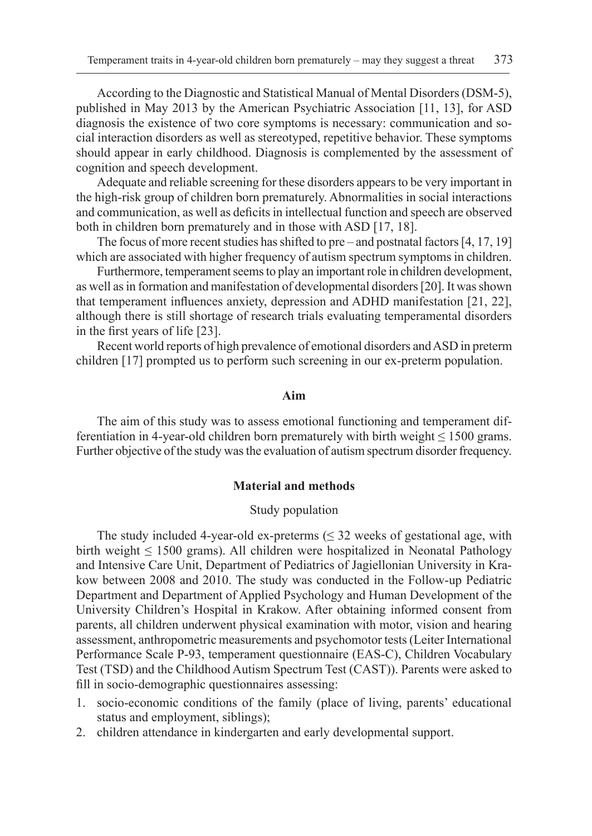According to the Diagnostic and Statistical Manual of Mental Disorders (DSM-5), published in May 2013 by the American Psychiatric Association [11, 13], for ASD diagnosis the existence of two core symptoms is necessary: communication and social interaction disorders as well as stereotyped, repetitive behavior. These symptoms should appear in early childhood. Diagnosis is complemented by the assessment of cognition and speech development.

Adequate and reliable screening for these disorders appears to be very important in the high-risk group of children born prematurely. Abnormalities in social interactions and communication, as well as deficits in intellectual function and speech are observed both in children born prematurely and in those with ASD [17, 18].

The focus of more recent studies has shifted to pre – and postnatal factors [4, 17, 19] which are associated with higher frequency of autism spectrum symptoms in children.

Furthermore, temperament seems to play an important role in children development, as well as in formation and manifestation of developmental disorders [20]. It was shown that temperament influences anxiety, depression and ADHD manifestation [21, 22], although there is still shortage of research trials evaluating temperamental disorders in the first years of life [23].

Recent world reports of high prevalence of emotional disorders and ASD in preterm children [17] prompted us to perform such screening in our ex-preterm population.

#### **Aim**

The aim of this study was to assess emotional functioning and temperament differentiation in 4-year-old children born prematurely with birth weight  $\leq 1500$  grams. Further objective of the study was the evaluation of autism spectrum disorder frequency.

### **Material and methods**

#### Study population

The study included 4-year-old ex-preterms  $( \leq 32 \text{ weeks of gestational age}, \text{with}$ birth weight  $\leq 1500$  grams). All children were hospitalized in Neonatal Pathology and Intensive Care Unit, Department of Pediatrics of Jagiellonian University in Krakow between 2008 and 2010. The study was conducted in the Follow-up Pediatric Department and Department of Applied Psychology and Human Development of the University Children's Hospital in Krakow. After obtaining informed consent from parents, all children underwent physical examination with motor, vision and hearing assessment, anthropometric measurements and psychomotor tests (Leiter International Performance Scale P-93, temperament questionnaire (EAS-C), Children Vocabulary Test (TSD) and the Childhood Autism Spectrum Test (CAST)). Parents were asked to fill in socio-demographic questionnaires assessing:

- 1. socio-economic conditions of the family (place of living, parents' educational status and employment, siblings);
- 2. children attendance in kindergarten and early developmental support.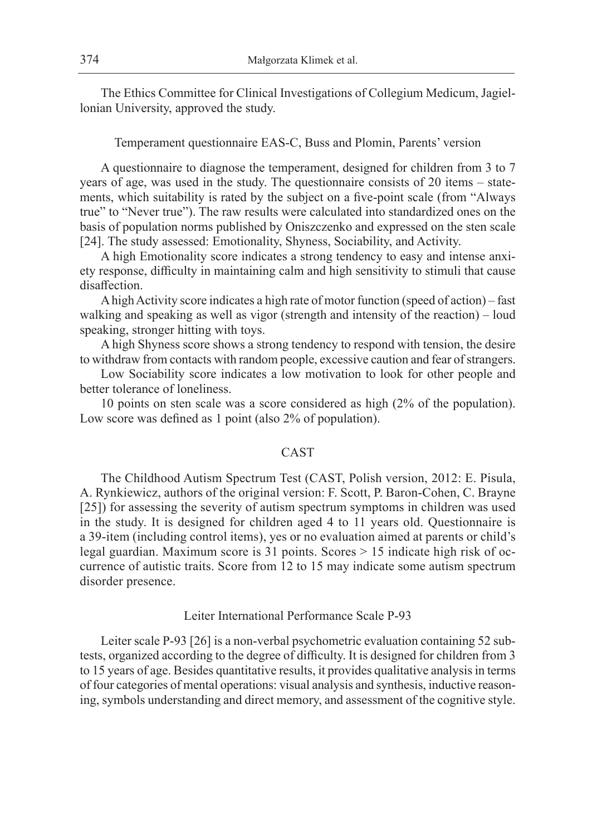The Ethics Committee for Clinical Investigations of Collegium Medicum, Jagiellonian University, approved the study.

Temperament questionnaire EAS-C, Buss and Plomin, Parents' version

A questionnaire to diagnose the temperament, designed for children from 3 to 7 years of age, was used in the study. The questionnaire consists of 20 items – statements, which suitability is rated by the subject on a five-point scale (from "Always true" to "Never true"). The raw results were calculated into standardized ones on the basis of population norms published by Oniszczenko and expressed on the sten scale [24]. The study assessed: Emotionality, Shyness, Sociability, and Activity.

A high Emotionality score indicates a strong tendency to easy and intense anxiety response, difficulty in maintaining calm and high sensitivity to stimuli that cause disaffection.

A high Activity score indicates a high rate of motor function (speed of action) – fast walking and speaking as well as vigor (strength and intensity of the reaction) – loud speaking, stronger hitting with toys.

A high Shyness score shows a strong tendency to respond with tension, the desire to withdraw from contacts with random people, excessive caution and fear of strangers.

Low Sociability score indicates a low motivation to look for other people and better tolerance of loneliness.

10 points on sten scale was a score considered as high (2% of the population). Low score was defined as 1 point (also 2% of population).

## CAST

The Childhood Autism Spectrum Test (CAST, Polish version, 2012: E. Pisula, A. Rynkiewicz, authors of the original version: F. Scott, P. Baron-Cohen, C. Brayne [25]) for assessing the severity of autism spectrum symptoms in children was used in the study. It is designed for children aged 4 to 11 years old. Questionnaire is a 39-item (including control items), yes or no evaluation aimed at parents or child's legal guardian. Maximum score is 31 points. Scores > 15 indicate high risk of occurrence of autistic traits. Score from 12 to 15 may indicate some autism spectrum disorder presence.

Leiter International Performance Scale P-93

Leiter scale P-93 [26] is a non-verbal psychometric evaluation containing 52 subtests, organized according to the degree of difficulty. It is designed for children from 3 to 15 years of age. Besides quantitative results, it provides qualitative analysis in terms of four categories of mental operations: visual analysis and synthesis, inductive reasoning, symbols understanding and direct memory, and assessment of the cognitive style.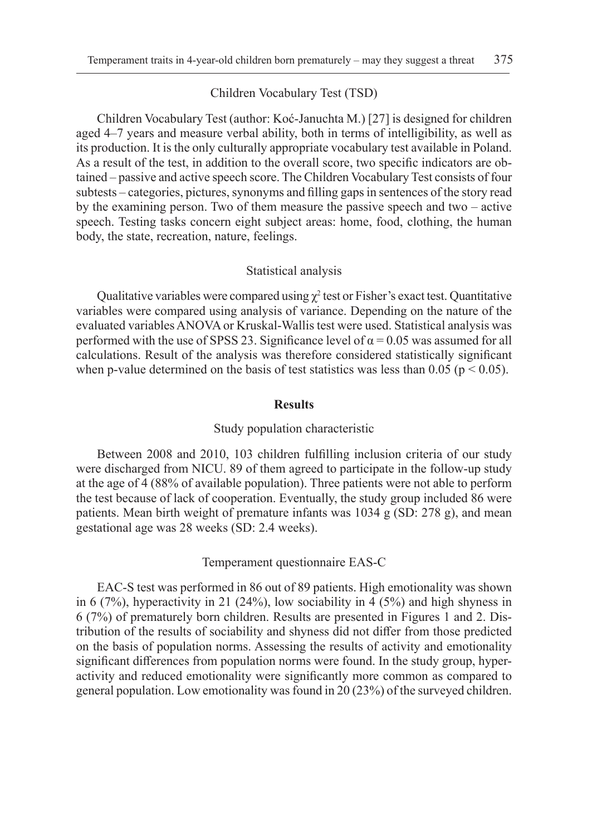#### Children Vocabulary Test (TSD)

Children Vocabulary Test (author: Koć-Januchta M.) [27] is designed for children aged 4–7 years and measure verbal ability, both in terms of intelligibility, as well as its production. It is the only culturally appropriate vocabulary test available in Poland. As a result of the test, in addition to the overall score, two specific indicators are obtained – passive and active speech score. The Children Vocabulary Test consists of four subtests – categories, pictures, synonyms and filling gaps in sentences of the story read by the examining person. Two of them measure the passive speech and two – active speech. Testing tasks concern eight subject areas: home, food, clothing, the human body, the state, recreation, nature, feelings.

#### Statistical analysis

Qualitative variables were compared using  $\chi^2$  test or Fisher's exact test. Quantitative variables were compared using analysis of variance. Depending on the nature of the evaluated variables ANOVA or Kruskal-Wallis test were used. Statistical analysis was performed with the use of SPSS 23. Significance level of  $\alpha$  = 0.05 was assumed for all calculations. Result of the analysis was therefore considered statistically significant when p-value determined on the basis of test statistics was less than 0.05 ( $p < 0.05$ ).

#### **Results**

#### Study population characteristic

Between 2008 and 2010, 103 children fulfilling inclusion criteria of our study were discharged from NICU. 89 of them agreed to participate in the follow-up study at the age of 4 (88% of available population). Three patients were not able to perform the test because of lack of cooperation. Eventually, the study group included 86 were patients. Mean birth weight of premature infants was 1034 g (SD: 278 g), and mean gestational age was 28 weeks (SD: 2.4 weeks).

#### Temperament questionnaire EAS-C

EAC-S test was performed in 86 out of 89 patients. High emotionality was shown in 6 (7%), hyperactivity in 21 (24%), low sociability in 4 (5%) and high shyness in 6 (7%) of prematurely born children. Results are presented in Figures 1 and 2. Distribution of the results of sociability and shyness did not differ from those predicted on the basis of population norms. Assessing the results of activity and emotionality significant differences from population norms were found. In the study group, hyperactivity and reduced emotionality were significantly more common as compared to general population. Low emotionality was found in 20 (23%) of the surveyed children.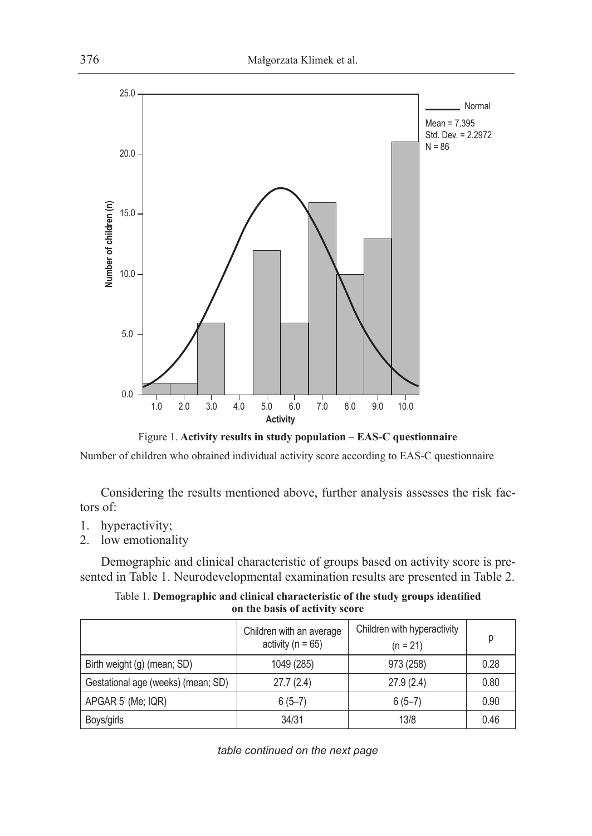

Figure 1. **Activity results in study population – EAS-C questionnaire**

Number of children who obtained individual activity score according to EAS-C questionnaire

Considering the results mentioned above, further analysis assesses the risk factors of:

- 1. hyperactivity;
- 2. low emotionality

Demographic and clinical characteristic of groups based on activity score is presented in Table 1. Neurodevelopmental examination results are presented in Table 2.

Table 1. **Demographic and clinical characteristic of the study groups identified on the basis of activity score**

|                                    | Children with an average<br>activity ( $n = 65$ ) | Children with hyperactivity<br>$(n = 21)$ | р    |
|------------------------------------|---------------------------------------------------|-------------------------------------------|------|
| Birth weight (g) (mean; SD)        | 1049 (285)                                        | 973 (258)                                 | 0.28 |
| Gestational age (weeks) (mean; SD) | 27.7(2.4)                                         | 27.9(2.4)                                 | 0.80 |
| APGAR 5' (Me; IQR)                 | $6(5-7)$                                          | $6(5-7)$                                  | 0.90 |
| Boys/girls                         | 34/31                                             | 13/8                                      | 0.46 |

*table continued on the next page*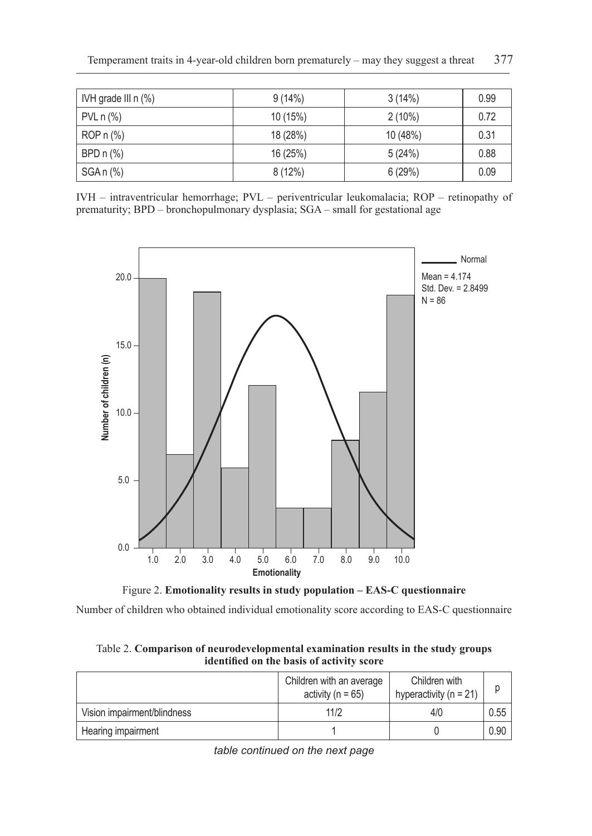| IVH grade III $n$ $%$ ) | 9(14%)   | 3(14%)    | 0.99 |
|-------------------------|----------|-----------|------|
| $PVL n (\%)$            | 10 (15%) | $2(10\%)$ | 0.72 |
| ROP $n$ $%$             | 18 (28%) | 10 (48%)  | 0.31 |
| BPD $n$ $%$             | 16 (25%) | 5(24%)    | 0.88 |
| SGA n (%)               | 8(12%)   | 6(29%)    | 0.09 |

IVH – intraventricular hemorrhage; PVL – periventricular leukomalacia; ROP – retinopathy of prematurity; BPD – bronchopulmonary dysplasia; SGA – small for gestational age



Figure 2. **Emotionality results in study population – EAS-C questionnaire**

Number of children who obtained individual emotionality score according to EAS-C questionnaire

Table 2. **Comparison of neurodevelopmental examination results in the study groups identified on the basis of activity score**

|                             | Children with an average<br>activity ( $n = 65$ ) | Children with<br>hyperactivity ( $n = 21$ ) |      |
|-----------------------------|---------------------------------------------------|---------------------------------------------|------|
| Vision impairment/blindness | 11/2                                              | 4/0                                         | 0.55 |
| Hearing impairment          |                                                   |                                             | 0.90 |

*table continued on the next page*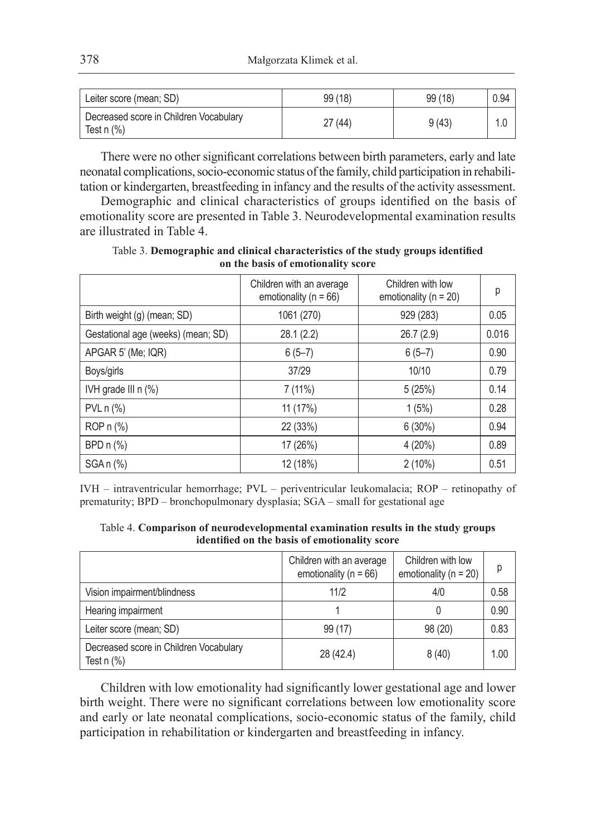| Leiter score (mean; SD)                                  | 99(18) | 99(18) | 0.94 |
|----------------------------------------------------------|--------|--------|------|
| Decreased score in Children Vocabulary<br>Test $n$ $%$ ) | 27(44) | 9(43)  |      |

There were no other significant correlations between birth parameters, early and late neonatal complications, socio-economic status of the family, child participation in rehabilitation or kindergarten, breastfeeding in infancy and the results of the activity assessment.

Demographic and clinical characteristics of groups identified on the basis of emotionality score are presented in Table 3. Neurodevelopmental examination results are illustrated in Table 4.

Table 3. **Demographic and clinical characteristics of the study groups identified on the basis of emotionality score**

|                                    | Children with an average<br>emotionality ( $n = 66$ ) | Children with low<br>emotionality ( $n = 20$ ) | р     |
|------------------------------------|-------------------------------------------------------|------------------------------------------------|-------|
| Birth weight (g) (mean; SD)        | 1061 (270)                                            | 929 (283)                                      | 0.05  |
| Gestational age (weeks) (mean; SD) | 28.1(2.2)                                             | 26.7(2.9)                                      | 0.016 |
| APGAR 5' (Me; IQR)                 | $6(5-7)$                                              | $6(5-7)$                                       | 0.90  |
| Boys/girls                         | 37/29                                                 | 10/10                                          | 0.79  |
| IVH grade III n (%)                | $7(11\%)$                                             | 5(25%)                                         | 0.14  |
| $PVL n (\%)$                       | 11 (17%)                                              | 1(5%)                                          | 0.28  |
| $ROPn (\%)$                        | 22 (33%)                                              | $6(30\%)$                                      | 0.94  |
| BPD n (%)                          | 17 (26%)                                              | 4(20%)                                         | 0.89  |
| $SGA n$ $%$                        | 12 (18%)                                              | $2(10\%)$                                      | 0.51  |

IVH – intraventricular hemorrhage; PVL – periventricular leukomalacia; ROP – retinopathy of prematurity; BPD – bronchopulmonary dysplasia; SGA – small for gestational age

Table 4. **Comparison of neurodevelopmental examination results in the study groups identified on the basis of emotionality score**

|                                                        | Children with an average<br>emotionality ( $n = 66$ ) | Children with low<br>emotionality ( $n = 20$ ) | D    |
|--------------------------------------------------------|-------------------------------------------------------|------------------------------------------------|------|
| Vision impairment/blindness                            | 11/2                                                  | 4/0                                            | 0.58 |
| Hearing impairment                                     |                                                       |                                                | 0.90 |
| Leiter score (mean; SD)                                | 99 (17)                                               | 98 (20)                                        | 0.83 |
| Decreased score in Children Vocabulary<br>Test $n$ $%$ | 28 (42.4)                                             | 8(40)                                          | 1.00 |

Children with low emotionality had significantly lower gestational age and lower birth weight. There were no significant correlations between low emotionality score and early or late neonatal complications, socio-economic status of the family, child participation in rehabilitation or kindergarten and breastfeeding in infancy.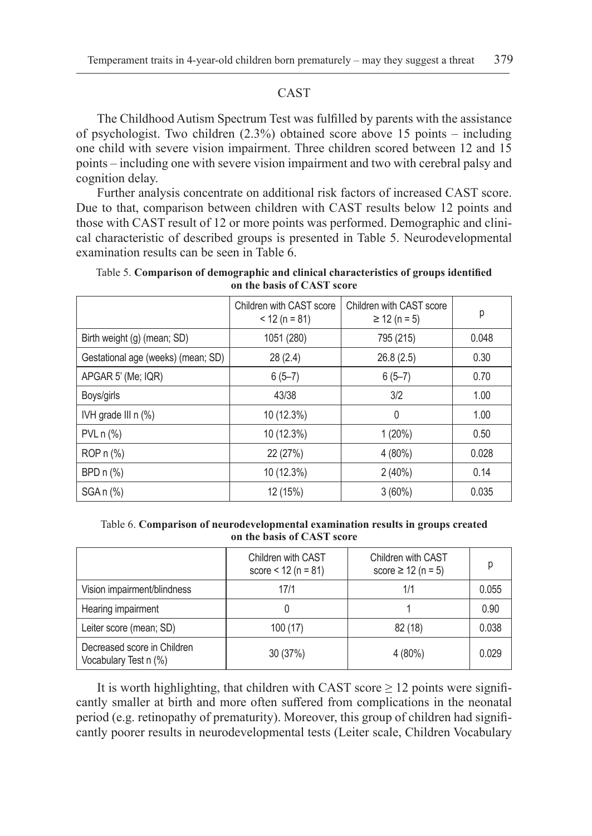# CAST

The Childhood Autism Spectrum Test was fulfilled by parents with the assistance of psychologist. Two children (2.3%) obtained score above 15 points – including one child with severe vision impairment. Three children scored between 12 and 15 points – including one with severe vision impairment and two with cerebral palsy and cognition delay.

Further analysis concentrate on additional risk factors of increased CAST score. Due to that, comparison between children with CAST results below 12 points and those with CAST result of 12 or more points was performed. Demographic and clinical characteristic of described groups is presented in Table 5. Neurodevelopmental examination results can be seen in Table 6.

|                                      | Children with CAST score<br>$<$ 12 (n = 81) | Children with CAST score<br>$\geq$ 12 (n = 5) | р     |
|--------------------------------------|---------------------------------------------|-----------------------------------------------|-------|
| Birth weight (g) (mean; SD)          | 1051 (280)                                  | 795 (215)                                     | 0.048 |
| Gestational age (weeks) (mean; SD)   | 28(2.4)                                     | 26.8(2.5)                                     | 0.30  |
| APGAR 5' (Me; IQR)                   | $6(5-7)$                                    | $6(5-7)$                                      | 0.70  |
| Boys/girls                           | 43/38                                       | 3/2                                           | 1.00  |
| IVH grade III $n$ $\left(\% \right)$ | 10 (12.3%)                                  | 0                                             | 1.00  |
| $PVL n (\%)$                         | 10 (12.3%)                                  | $1(20\%)$                                     | 0.50  |
| ROP n (%)                            | 22 (27%)                                    | $4(80\%)$                                     | 0.028 |
| BPD $n$ $%$                          | 10 (12.3%)                                  | $2(40\%)$                                     | 0.14  |
| $SGA n$ $%$                          | 12 (15%)                                    | 3(60%)                                        | 0.035 |

Table 5. **Comparison of demographic and clinical characteristics of groups identified on the basis of CAST score**

Table 6. **Comparison of neurodevelopmental examination results in groups created on the basis of CAST score**

|                                                      | Children with CAST<br>score $<$ 12 (n = 81) | Children with CAST<br>score $\geq 12$ (n = 5) |       |
|------------------------------------------------------|---------------------------------------------|-----------------------------------------------|-------|
| Vision impairment/blindness                          | 17/1                                        | 1/1                                           | 0.055 |
| Hearing impairment                                   |                                             |                                               | 0.90  |
| Leiter score (mean; SD)                              | 100(17)                                     | 82(18)                                        | 0.038 |
| Decreased score in Children<br>Vocabulary Test n (%) | 30(37%)                                     | $4(80\%)$                                     | 0.029 |

It is worth highlighting, that children with CAST score  $\geq 12$  points were significantly smaller at birth and more often suffered from complications in the neonatal period (e.g. retinopathy of prematurity). Moreover, this group of children had significantly poorer results in neurodevelopmental tests (Leiter scale, Children Vocabulary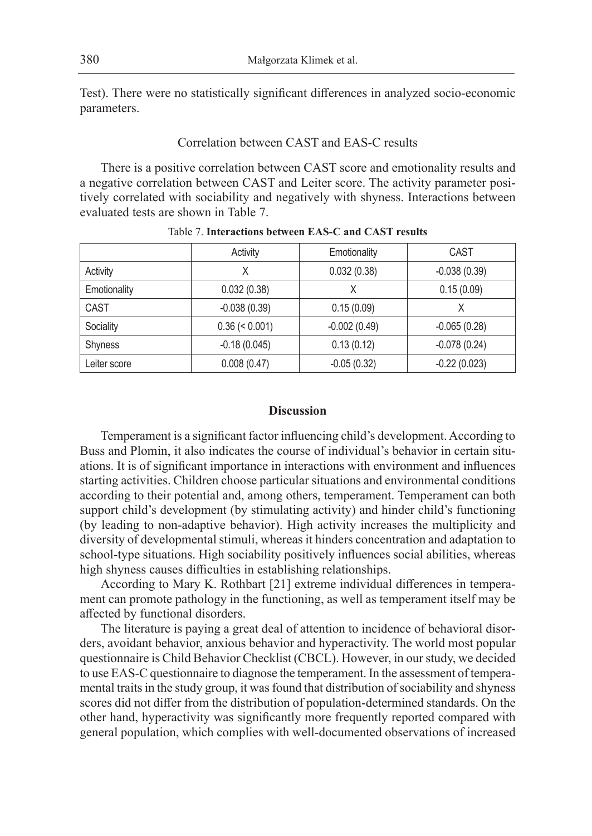Test). There were no statistically significant differences in analyzed socio-economic parameters.

#### Correlation between CAST and EAS-C results

There is a positive correlation between CAST score and emotionality results and a negative correlation between CAST and Leiter score. The activity parameter positively correlated with sociability and negatively with shyness. Interactions between evaluated tests are shown in Table 7.

|              | Activity         | Emotionality   | CAST           |
|--------------|------------------|----------------|----------------|
| Activity     | Χ                | 0.032(0.38)    | $-0.038(0.39)$ |
| Emotionality | 0.032(0.38)      |                | 0.15(0.09)     |
| CAST         | $-0.038(0.39)$   | 0.15(0.09)     | X              |
| Sociality    | $0.36 \le 0.001$ | $-0.002(0.49)$ | $-0.065(0.28)$ |
| Shyness      | $-0.18(0.045)$   | 0.13(0.12)     | $-0.078(0.24)$ |
| Leiter score | 0.008(0.47)      | $-0.05(0.32)$  | $-0.22(0.023)$ |

Table 7. **Interactions between EAS-C and CAST results**

#### **Discussion**

Temperament is a significant factor influencing child's development. According to Buss and Plomin, it also indicates the course of individual's behavior in certain situations. It is of significant importance in interactions with environment and influences starting activities. Children choose particular situations and environmental conditions according to their potential and, among others, temperament. Temperament can both support child's development (by stimulating activity) and hinder child's functioning (by leading to non-adaptive behavior). High activity increases the multiplicity and diversity of developmental stimuli, whereas it hinders concentration and adaptation to school-type situations. High sociability positively influences social abilities, whereas high shyness causes difficulties in establishing relationships.

According to Mary K. Rothbart [21] extreme individual differences in temperament can promote pathology in the functioning, as well as temperament itself may be affected by functional disorders.

The literature is paying a great deal of attention to incidence of behavioral disorders, avoidant behavior, anxious behavior and hyperactivity. The world most popular questionnaire is Child Behavior Checklist (CBCL). However, in our study, we decided to use EAS-C questionnaire to diagnose the temperament. In the assessment of temperamental traits in the study group, it was found that distribution of sociability and shyness scores did not differ from the distribution of population-determined standards. On the other hand, hyperactivity was significantly more frequently reported compared with general population, which complies with well-documented observations of increased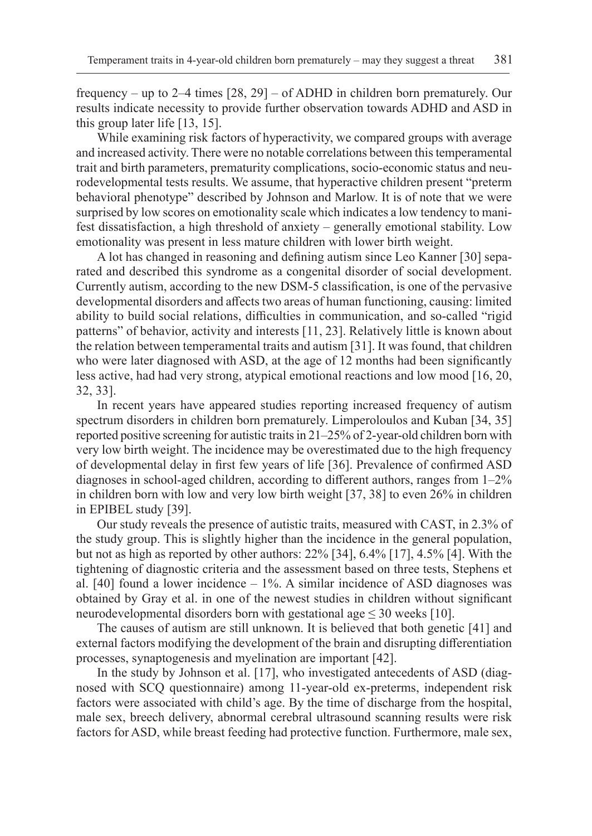frequency – up to 2–4 times [28, 29] – of ADHD in children born prematurely. Our results indicate necessity to provide further observation towards ADHD and ASD in this group later life [13, 15].

While examining risk factors of hyperactivity, we compared groups with average and increased activity. There were no notable correlations between this temperamental trait and birth parameters, prematurity complications, socio-economic status and neurodevelopmental tests results. We assume, that hyperactive children present "preterm behavioral phenotype" described by Johnson and Marlow. It is of note that we were surprised by low scores on emotionality scale which indicates a low tendency to manifest dissatisfaction, a high threshold of anxiety – generally emotional stability. Low emotionality was present in less mature children with lower birth weight.

A lot has changed in reasoning and defining autism since Leo Kanner [30] separated and described this syndrome as a congenital disorder of social development. Currently autism, according to the new DSM-5 classification, is one of the pervasive developmental disorders and affects two areas of human functioning, causing: limited ability to build social relations, difficulties in communication, and so-called "rigid patterns" of behavior, activity and interests [11, 23]. Relatively little is known about the relation between temperamental traits and autism [31]. It was found, that children who were later diagnosed with ASD, at the age of 12 months had been significantly less active, had had very strong, atypical emotional reactions and low mood [16, 20, 32, 33].

In recent years have appeared studies reporting increased frequency of autism spectrum disorders in children born prematurely. Limperoloulos and Kuban [34, 35] reported positive screening for autistic traits in 21–25% of 2-year-old children born with very low birth weight. The incidence may be overestimated due to the high frequency of developmental delay in first few years of life [36]. Prevalence of confirmed ASD diagnoses in school-aged children, according to different authors, ranges from 1–2% in children born with low and very low birth weight [37, 38] to even 26% in children in EPIBEL study [39].

Our study reveals the presence of autistic traits, measured with CAST, in 2.3% of the study group. This is slightly higher than the incidence in the general population, but not as high as reported by other authors: 22% [34], 6.4% [17], 4.5% [4]. With the tightening of diagnostic criteria and the assessment based on three tests, Stephens et al.  $[40]$  found a lower incidence  $-1\%$ . A similar incidence of ASD diagnoses was obtained by Gray et al. in one of the newest studies in children without significant neurodevelopmental disorders born with gestational age  $\leq 30$  weeks [10].

The causes of autism are still unknown. It is believed that both genetic [41] and external factors modifying the development of the brain and disrupting differentiation processes, synaptogenesis and myelination are important [42].

In the study by Johnson et al. [17], who investigated antecedents of ASD (diagnosed with SCQ questionnaire) among 11-year-old ex-preterms, independent risk factors were associated with child's age. By the time of discharge from the hospital, male sex, breech delivery, abnormal cerebral ultrasound scanning results were risk factors for ASD, while breast feeding had protective function. Furthermore, male sex,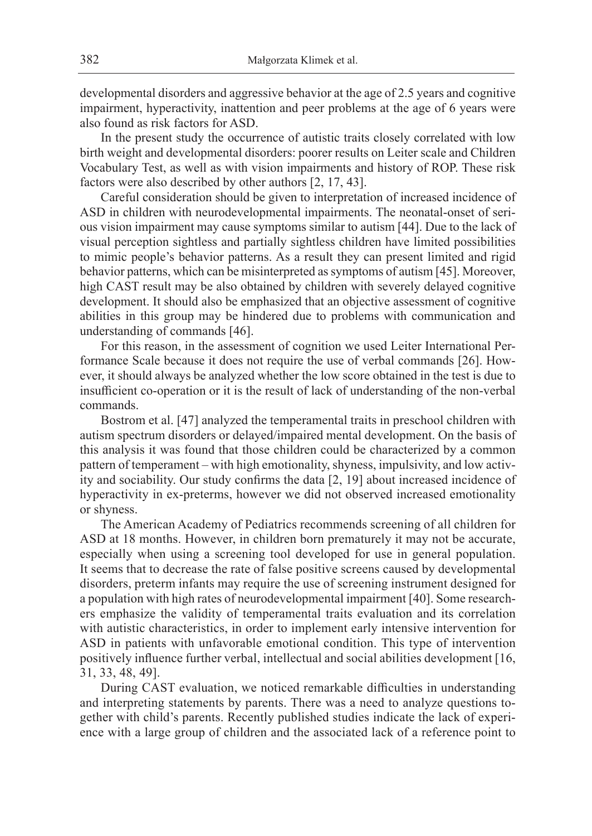developmental disorders and aggressive behavior at the age of 2.5 years and cognitive impairment, hyperactivity, inattention and peer problems at the age of 6 years were also found as risk factors for ASD.

In the present study the occurrence of autistic traits closely correlated with low birth weight and developmental disorders: poorer results on Leiter scale and Children Vocabulary Test, as well as with vision impairments and history of ROP. These risk factors were also described by other authors [2, 17, 43].

Careful consideration should be given to interpretation of increased incidence of ASD in children with neurodevelopmental impairments. The neonatal-onset of serious vision impairment may cause symptoms similar to autism [44]. Due to the lack of visual perception sightless and partially sightless children have limited possibilities to mimic people's behavior patterns. As a result they can present limited and rigid behavior patterns, which can be misinterpreted as symptoms of autism [45]. Moreover, high CAST result may be also obtained by children with severely delayed cognitive development. It should also be emphasized that an objective assessment of cognitive abilities in this group may be hindered due to problems with communication and understanding of commands [46].

For this reason, in the assessment of cognition we used Leiter International Performance Scale because it does not require the use of verbal commands [26]. However, it should always be analyzed whether the low score obtained in the test is due to insufficient co-operation or it is the result of lack of understanding of the non-verbal commands.

Bostrom et al. [47] analyzed the temperamental traits in preschool children with autism spectrum disorders or delayed/impaired mental development. On the basis of this analysis it was found that those children could be characterized by a common pattern of temperament – with high emotionality, shyness, impulsivity, and low activity and sociability. Our study confirms the data [2, 19] about increased incidence of hyperactivity in ex-preterms, however we did not observed increased emotionality or shyness.

The American Academy of Pediatrics recommends screening of all children for ASD at 18 months. However, in children born prematurely it may not be accurate, especially when using a screening tool developed for use in general population. It seems that to decrease the rate of false positive screens caused by developmental disorders, preterm infants may require the use of screening instrument designed for a population with high rates of neurodevelopmental impairment [40]. Some researchers emphasize the validity of temperamental traits evaluation and its correlation with autistic characteristics, in order to implement early intensive intervention for ASD in patients with unfavorable emotional condition. This type of intervention positively influence further verbal, intellectual and social abilities development [16, 31, 33, 48, 49].

During CAST evaluation, we noticed remarkable difficulties in understanding and interpreting statements by parents. There was a need to analyze questions together with child's parents. Recently published studies indicate the lack of experience with a large group of children and the associated lack of a reference point to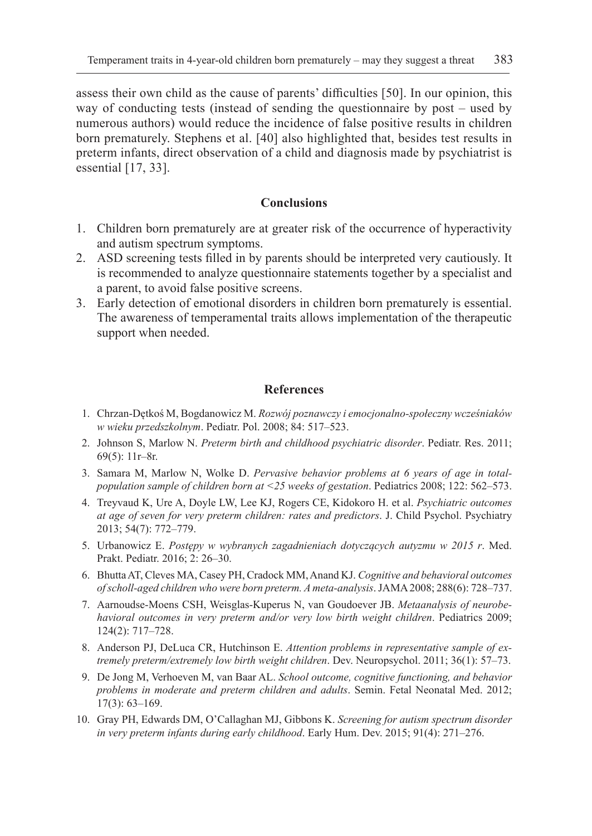assess their own child as the cause of parents' difficulties [50]. In our opinion, this way of conducting tests (instead of sending the questionnaire by post – used by numerous authors) would reduce the incidence of false positive results in children born prematurely. Stephens et al. [40] also highlighted that, besides test results in preterm infants, direct observation of a child and diagnosis made by psychiatrist is essential [17, 33].

# **Conclusions**

- 1. Children born prematurely are at greater risk of the occurrence of hyperactivity and autism spectrum symptoms.
- 2. ASD screening tests filled in by parents should be interpreted very cautiously. It is recommended to analyze questionnaire statements together by a specialist and a parent, to avoid false positive screens.
- 3. Early detection of emotional disorders in children born prematurely is essential. The awareness of temperamental traits allows implementation of the therapeutic support when needed.

#### **References**

- 1. Chrzan-Dętkoś M, Bogdanowicz M. *Rozwój poznawczy i emocjonalno-społeczny wcześniaków w wieku przedszkolnym*. Pediatr. Pol. 2008; 84: 517–523.
- 2. Johnson S, Marlow N. *Preterm birth and childhood psychiatric disorder*. Pediatr. Res. 2011; 69(5): 11r–8r.
- 3. Samara M, Marlow N, Wolke D. *Pervasive behavior problems at 6 years of age in totalpopulation sample of children born at <25 weeks of gestation*. Pediatrics 2008; 122: 562–573.
- 4. Treyvaud K, Ure A, Doyle LW, Lee KJ, Rogers CE, Kidokoro H. et al. *Psychiatric outcomes at age of seven for very preterm children: rates and predictors*. J. Child Psychol. Psychiatry 2013; 54(7): 772–779.
- 5. Urbanowicz E. *Postępy w wybranych zagadnieniach dotyczących autyzmu w 2015 r*. Med. Prakt. Pediatr. 2016; 2: 26–30.
- 6. Bhutta AT, Cleves MA, Casey PH, Cradock MM, Anand KJ. *Cognitive and behavioral outcomes of scholl-aged children who were born preterm. A meta-analysis*. JAMA 2008; 288(6): 728–737.
- 7. Aarnoudse-Moens CSH, Weisglas-Kuperus N, van Goudoever JB. *Metaanalysis of neurobehavioral outcomes in very preterm and/or very low birth weight children*. Pediatrics 2009; 124(2): 717–728.
- 8. Anderson PJ, DeLuca CR, Hutchinson E. *Attention problems in representative sample of extremely preterm/extremely low birth weight children*. Dev. Neuropsychol. 2011; 36(1): 57–73.
- 9. De Jong M, Verhoeven M, van Baar AL. *School outcome, cognitive functioning, and behavior problems in moderate and preterm children and adults*. Semin. Fetal Neonatal Med. 2012; 17(3): 63–169.
- 10. Gray PH, Edwards DM, O'Callaghan MJ, Gibbons K. *Screening for autism spectrum disorder in very preterm infants during early childhood*. Early Hum. Dev. 2015; 91(4): 271–276.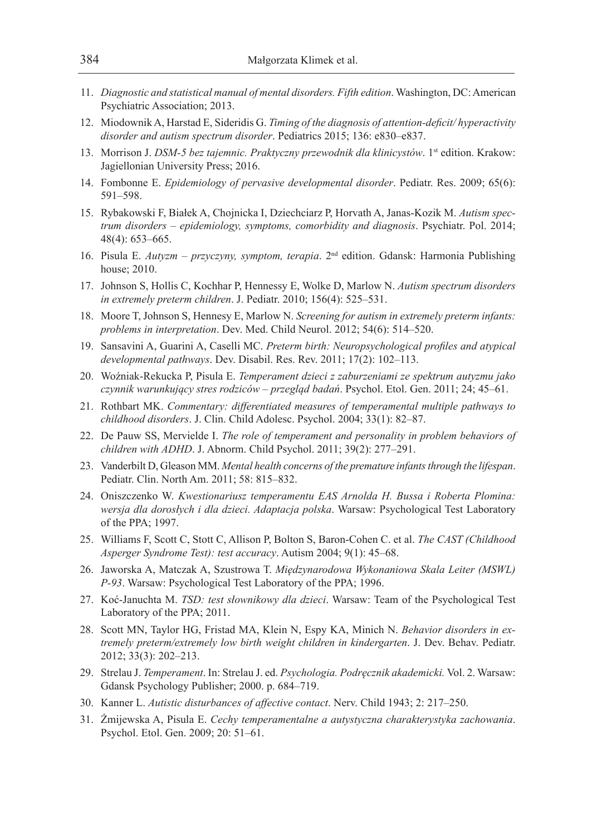- 11. *Diagnostic and statistical manual of mental disorders. Fifth edition*. Washington, DC: American Psychiatric Association; 2013.
- 12. Miodownik A, Harstad E, Sideridis G. *Timing of the diagnosis of attention-deficit/ hyperactivity disorder and autism spectrum disorder*. Pediatrics 2015; 136: e830–e837.
- 13. Morrison J. *DSM-5 bez tajemnic. Praktyczny przewodnik dla klinicystów*. 1<sup>st</sup> edition. Krakow: Jagiellonian University Press; 2016.
- 14. Fombonne E. *Epidemiology of pervasive developmental disorder*. Pediatr. Res. 2009; 65(6): 591–598.
- 15. Rybakowski F, Białek A, Chojnicka I, Dziechciarz P, Horvath A, Janas-Kozik M. *Autism spectrum disorders – epidemiology, symptoms, comorbidity and diagnosis*. Psychiatr. Pol. 2014; 48(4): 653–665.
- 16. Pisula E. *Autyzm przyczyny, symptom, terapia*. 2nd edition. Gdansk: Harmonia Publishing house; 2010.
- 17. Johnson S, Hollis C, Kochhar P, Hennessy E, Wolke D, Marlow N. *Autism spectrum disorders in extremely preterm children*. J. Pediatr. 2010; 156(4): 525–531.
- 18. Moore T, Johnson S, Hennesy E, Marlow N. *Screening for autism in extremely preterm infants: problems in interpretation*. Dev. Med. Child Neurol. 2012; 54(6): 514–520.
- 19. Sansavini A, Guarini A, Caselli MC. *Preterm birth: Neuropsychological profiles and atypical developmental pathways*. Dev. Disabil. Res. Rev. 2011; 17(2): 102–113.
- 20. Woźniak-Rekucka P, Pisula E. *Temperament dzieci z zaburzeniami ze spektrum autyzmu jako czynnik warunkujący stres rodziców – przegląd badań*. Psychol. Etol. Gen. 2011; 24; 45–61.
- 21. Rothbart MK. *Commentary: differentiated measures of temperamental multiple pathways to childhood disorders*. J. Clin. Child Adolesc. Psychol. 2004; 33(1): 82–87.
- 22. De Pauw SS, Mervielde I. *The role of temperament and personality in problem behaviors of children with ADHD*. J. Abnorm. Child Psychol. 2011; 39(2): 277–291.
- 23. Vanderbilt D, Gleason MM. *Mental health concerns of the premature infants through the lifespan*. Pediatr. Clin. North Am. 2011; 58: 815–832.
- 24. Oniszczenko W. *Kwestionariusz temperamentu EAS Arnolda H. Bussa i Roberta Plomina: wersja dla dorosłych i dla dzieci. Adaptacja polska*. Warsaw: Psychological Test Laboratory of the PPA; 1997.
- 25. Williams F, Scott C, Stott C, Allison P, Bolton S, Baron-Cohen C. et al. *The CAST (Childhood Asperger Syndrome Test): test accuracy*. Autism 2004; 9(1): 45–68.
- 26. Jaworska A, Matczak A, Szustrowa T. *Międzynarodowa Wykonaniowa Skala Leiter (MSWL) P-93*. Warsaw: Psychological Test Laboratory of the PPA; 1996.
- 27. Koć-Januchta M. *TSD: test słownikowy dla dzieci*. Warsaw: Team of the Psychological Test Laboratory of the PPA; 2011.
- 28. Scott MN, Taylor HG, Fristad MA, Klein N, Espy KA, Minich N. *Behavior disorders in extremely preterm/extremely low birth weight children in kindergarten*. J. Dev. Behav. Pediatr. 2012; 33(3): 202–213.
- 29. Strelau J. *Temperament*. In: Strelau J. ed. *Psychologia. Podręcznik akademicki.* Vol. 2. Warsaw: Gdansk Psychology Publisher; 2000. p. 684–719.
- 30. Kanner L. *Autistic disturbances of affective contact*. Nerv. Child 1943; 2: 217–250.
- 31. Żmijewska A, Pisula E. *Cechy temperamentalne a autystyczna charakterystyka zachowania*. Psychol. Etol. Gen. 2009; 20: 51–61.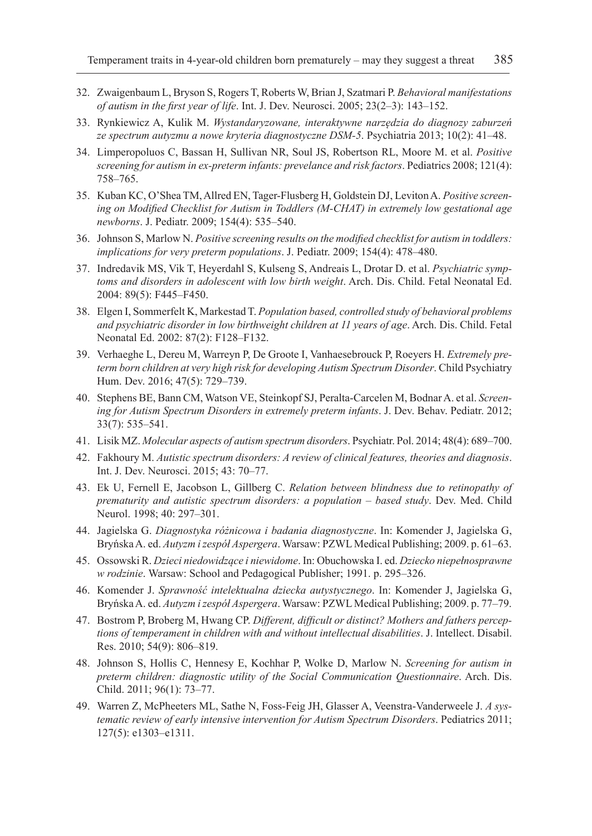- 32. Zwaigenbaum L, Bryson S, Rogers T, Roberts W, Brian J, Szatmari P. *Behavioral manifestations of autism in the first year of life*. Int. J. Dev. Neurosci. 2005; 23(2–3): 143–152.
- 33. Rynkiewicz A, Kulik M. *Wystandaryzowane, interaktywne narzędzia do diagnozy zaburzeń ze spectrum autyzmu a nowe kryteria diagnostyczne DSM-5*. Psychiatria 2013; 10(2): 41–48.
- 34. Limperopoluos C, Bassan H, Sullivan NR, Soul JS, Robertson RL, Moore M. et al. *Positive screening for autism in ex-preterm infants: prevelance and risk factors*. Pediatrics 2008; 121(4): 758–765.
- 35. Kuban KC, O'Shea TM, Allred EN, Tager-Flusberg H, Goldstein DJ, Leviton A. *Positive screening on Modified Checklist for Autism in Toddlers (M-CHAT) in extremely low gestational age newborns*. J. Pediatr. 2009; 154(4): 535–540.
- 36. Johnson S, Marlow N. *Positive screening results on the modified checklist for autism in toddlers: implications for very preterm populations*. J. Pediatr. 2009; 154(4): 478–480.
- 37. Indredavik MS, Vik T, Heyerdahl S, Kulseng S, Andreais L, Drotar D. et al. *Psychiatric symptoms and disorders in adolescent with low birth weight*. Arch. Dis. Child. Fetal Neonatal Ed. 2004: 89(5): F445–F450.
- 38. Elgen I, Sommerfelt K, Markestad T. *Population based, controlled study of behavioral problems and psychiatric disorder in low birthweight children at 11 years of age*. Arch. Dis. Child. Fetal Neonatal Ed. 2002: 87(2): F128–F132.
- 39. Verhaeghe L, Dereu M, Warreyn P, De Groote I, Vanhaesebrouck P, Roeyers H. *Extremely preterm born children at very high risk for developing Autism Spectrum Disorder*. Child Psychiatry Hum. Dev. 2016; 47(5): 729–739.
- 40. Stephens BE, Bann CM, Watson VE, Steinkopf SJ, Peralta-Carcelen M, Bodnar A. et al. *Screening for Autism Spectrum Disorders in extremely preterm infants*. J. Dev. Behav. Pediatr. 2012; 33(7): 535–541.
- 41. Lisik MZ. *Molecular aspects of autism spectrum disorders*. Psychiatr. Pol. 2014; 48(4): 689–700.
- 42. Fakhoury M. *Autistic spectrum disorders: A review of clinical features, theories and diagnosis*. Int. J. Dev. Neurosci. 2015; 43: 70–77.
- 43. Ek U, Fernell E, Jacobson L, Gillberg C. *Relation between blindness due to retinopathy of prematurity and autistic spectrum disorders: a population – based study*. Dev. Med. Child Neurol. 1998; 40: 297–301.
- 44. Jagielska G. *Diagnostyka różnicowa i badania diagnostyczne*. In: Komender J, Jagielska G, Bryńska A. ed. *Autyzm i zespół Aspergera*. Warsaw: PZWL Medical Publishing; 2009. p. 61–63.
- 45. Ossowski R. *Dzieci niedowidzące i niewidome*. In: Obuchowska I. ed. *Dziecko niepełnosprawne w rodzinie*. Warsaw: School and Pedagogical Publisher; 1991. p. 295–326.
- 46. Komender J. *Sprawność intelektualna dziecka autystycznego*. In: Komender J, Jagielska G, Bryńska A. ed. *Autyzm i zespół Aspergera*. Warsaw: PZWL Medical Publishing; 2009. p. 77–79.
- 47. Bostrom P, Broberg M, Hwang CP. *Different, difficult or distinct? Mothers and fathers perceptions of temperament in children with and without intellectual disabilities*. J. Intellect. Disabil. Res. 2010; 54(9): 806–819.
- 48. Johnson S, Hollis C, Hennesy E, Kochhar P, Wolke D, Marlow N. *Screening for autism in preterm children: diagnostic utility of the Social Communication Questionnaire*. Arch. Dis. Child. 2011; 96(1): 73–77.
- 49. Warren Z, McPheeters ML, Sathe N, Foss-Feig JH, Glasser A, Veenstra-Vanderweele J. *A systematic review of early intensive intervention for Autism Spectrum Disorders*. Pediatrics 2011; 127(5): e1303–e1311.